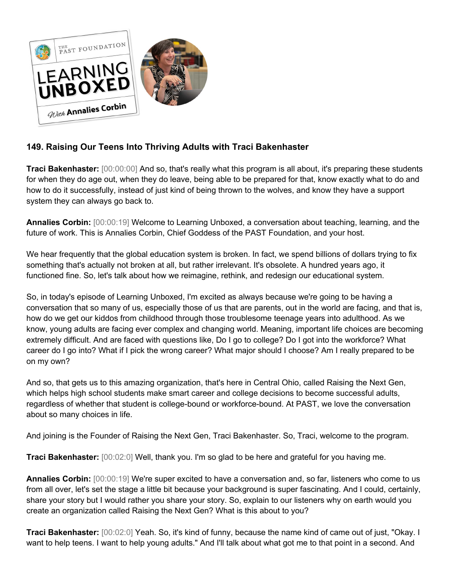

## **149. Raising Our Teens Into Thriving Adults with Traci Bakenhaster**

**Traci Bakenhaster:** [00:00:00] And so, that's really what this program is all about, it's preparing these students for when they do age out, when they do leave, being able to be prepared for that, know exactly what to do and how to do it successfully, instead of just kind of being thrown to the wolves, and know they have a support system they can always go back to.

**Annalies Corbin:** [00:00:19] Welcome to Learning Unboxed, a conversation about teaching, learning, and the future of work. This is Annalies Corbin, Chief Goddess of the PAST Foundation, and your host.

We hear frequently that the global education system is broken. In fact, we spend billions of dollars trying to fix something that's actually not broken at all, but rather irrelevant. It's obsolete. A hundred years ago, it functioned fine. So, let's talk about how we reimagine, rethink, and redesign our educational system.

So, in today's episode of Learning Unboxed, I'm excited as always because we're going to be having a conversation that so many of us, especially those of us that are parents, out in the world are facing, and that is, how do we get our kiddos from childhood through those troublesome teenage years into adulthood. As we know, young adults are facing ever complex and changing world. Meaning, important life choices are becoming extremely difficult. And are faced with questions like, Do I go to college? Do I got into the workforce? What career do I go into? What if I pick the wrong career? What major should I choose? Am I really prepared to be on my own?

And so, that gets us to this amazing organization, that's here in Central Ohio, called Raising the Next Gen, which helps high school students make smart career and college decisions to become successful adults, regardless of whether that student is college-bound or workforce-bound. At PAST, we love the conversation about so many choices in life.

And joining is the Founder of Raising the Next Gen, Traci Bakenhaster. So, Traci, welcome to the program.

**Traci Bakenhaster:** [00:02:0] Well, thank you. I'm so glad to be here and grateful for you having me.

**Annalies Corbin:** [00:00:19] We're super excited to have a conversation and, so far, listeners who come to us from all over, let's set the stage a little bit because your background is super fascinating. And I could, certainly, share your story but I would rather you share your story. So, explain to our listeners why on earth would you create an organization called Raising the Next Gen? What is this about to you?

**Traci Bakenhaster:** [00:02:0] Yeah. So, it's kind of funny, because the name kind of came out of just, "Okay. I want to help teens. I want to help young adults." And I'll talk about what got me to that point in a second. And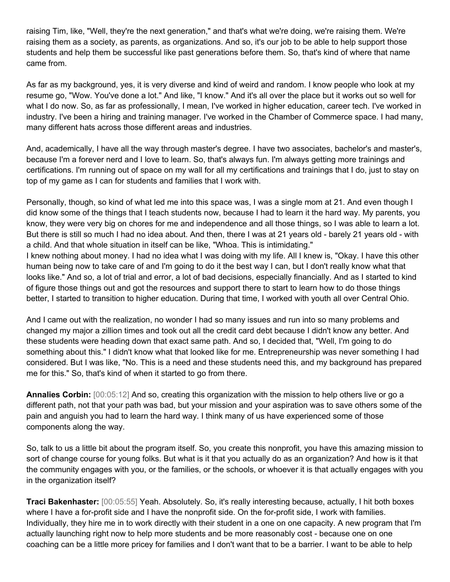raising Tim, like, "Well, they're the next generation," and that's what we're doing, we're raising them. We're raising them as a society, as parents, as organizations. And so, it's our job to be able to help support those students and help them be successful like past generations before them. So, that's kind of where that name came from.

As far as my background, yes, it is very diverse and kind of weird and random. I know people who look at my resume go, "Wow. You've done a lot." And like, "I know." And it's all over the place but it works out so well for what I do now. So, as far as professionally, I mean, I've worked in higher education, career tech. I've worked in industry. I've been a hiring and training manager. I've worked in the Chamber of Commerce space. I had many, many different hats across those different areas and industries.

And, academically, I have all the way through master's degree. I have two associates, bachelor's and master's, because I'm a forever nerd and I love to learn. So, that's always fun. I'm always getting more trainings and certifications. I'm running out of space on my wall for all my certifications and trainings that I do, just to stay on top of my game as I can for students and families that I work with.

Personally, though, so kind of what led me into this space was, I was a single mom at 21. And even though I did know some of the things that I teach students now, because I had to learn it the hard way. My parents, you know, they were very big on chores for me and independence and all those things, so I was able to learn a lot. But there is still so much I had no idea about. And then, there I was at 21 years old - barely 21 years old - with a child. And that whole situation in itself can be like, "Whoa. This is intimidating."

I knew nothing about money. I had no idea what I was doing with my life. All I knew is, "Okay. I have this other human being now to take care of and I'm going to do it the best way I can, but I don't really know what that looks like." And so, a lot of trial and error, a lot of bad decisions, especially financially. And as I started to kind of figure those things out and got the resources and support there to start to learn how to do those things better, I started to transition to higher education. During that time, I worked with youth all over Central Ohio.

And I came out with the realization, no wonder I had so many issues and run into so many problems and changed my major a zillion times and took out all the credit card debt because I didn't know any better. And these students were heading down that exact same path. And so, I decided that, "Well, I'm going to do something about this." I didn't know what that looked like for me. Entrepreneurship was never something I had considered. But I was like, "No. This is a need and these students need this, and my background has prepared me for this." So, that's kind of when it started to go from there.

**Annalies Corbin:** [00:05:12] And so, creating this organization with the mission to help others live or go a different path, not that your path was bad, but your mission and your aspiration was to save others some of the pain and anguish you had to learn the hard way. I think many of us have experienced some of those components along the way.

So, talk to us a little bit about the program itself. So, you create this nonprofit, you have this amazing mission to sort of change course for young folks. But what is it that you actually do as an organization? And how is it that the community engages with you, or the families, or the schools, or whoever it is that actually engages with you in the organization itself?

**Traci Bakenhaster:** [00:05:55] Yeah. Absolutely. So, it's really interesting because, actually, I hit both boxes where I have a for-profit side and I have the nonprofit side. On the for-profit side, I work with families. Individually, they hire me in to work directly with their student in a one on one capacity. A new program that I'm actually launching right now to help more students and be more reasonably cost - because one on one coaching can be a little more pricey for families and I don't want that to be a barrier. I want to be able to help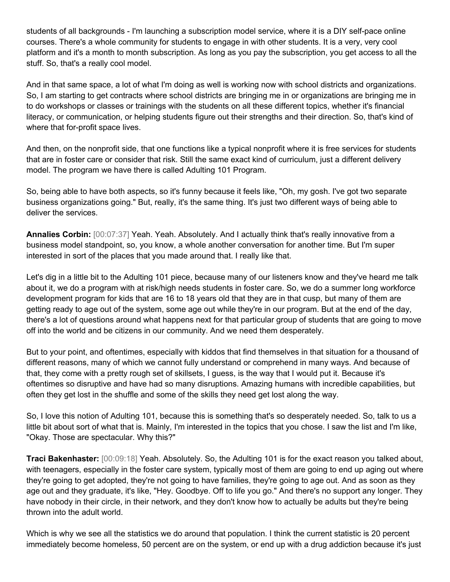students of all backgrounds - I'm launching a subscription model service, where it is a DIY self-pace online courses. There's a whole community for students to engage in with other students. It is a very, very cool platform and it's a month to month subscription. As long as you pay the subscription, you get access to all the stuff. So, that's a really cool model.

And in that same space, a lot of what I'm doing as well is working now with school districts and organizations. So, I am starting to get contracts where school districts are bringing me in or organizations are bringing me in to do workshops or classes or trainings with the students on all these different topics, whether it's financial literacy, or communication, or helping students figure out their strengths and their direction. So, that's kind of where that for-profit space lives.

And then, on the nonprofit side, that one functions like a typical nonprofit where it is free services for students that are in foster care or consider that risk. Still the same exact kind of curriculum, just a different delivery model. The program we have there is called Adulting 101 Program.

So, being able to have both aspects, so it's funny because it feels like, "Oh, my gosh. I've got two separate business organizations going." But, really, it's the same thing. It's just two different ways of being able to deliver the services.

**Annalies Corbin:** [00:07:37] Yeah. Yeah. Absolutely. And I actually think that's really innovative from a business model standpoint, so, you know, a whole another conversation for another time. But I'm super interested in sort of the places that you made around that. I really like that.

Let's dig in a little bit to the Adulting 101 piece, because many of our listeners know and they've heard me talk about it, we do a program with at risk/high needs students in foster care. So, we do a summer long workforce development program for kids that are 16 to 18 years old that they are in that cusp, but many of them are getting ready to age out of the system, some age out while they're in our program. But at the end of the day, there's a lot of questions around what happens next for that particular group of students that are going to move off into the world and be citizens in our community. And we need them desperately.

But to your point, and oftentimes, especially with kiddos that find themselves in that situation for a thousand of different reasons, many of which we cannot fully understand or comprehend in many ways. And because of that, they come with a pretty rough set of skillsets, I guess, is the way that I would put it. Because it's oftentimes so disruptive and have had so many disruptions. Amazing humans with incredible capabilities, but often they get lost in the shuffle and some of the skills they need get lost along the way.

So, I love this notion of Adulting 101, because this is something that's so desperately needed. So, talk to us a little bit about sort of what that is. Mainly, I'm interested in the topics that you chose. I saw the list and I'm like, "Okay. Those are spectacular. Why this?"

**Traci Bakenhaster:** [00:09:18] Yeah. Absolutely. So, the Adulting 101 is for the exact reason you talked about, with teenagers, especially in the foster care system, typically most of them are going to end up aging out where they're going to get adopted, they're not going to have families, they're going to age out. And as soon as they age out and they graduate, it's like, "Hey. Goodbye. Off to life you go." And there's no support any longer. They have nobody in their circle, in their network, and they don't know how to actually be adults but they're being thrown into the adult world.

Which is why we see all the statistics we do around that population. I think the current statistic is 20 percent immediately become homeless, 50 percent are on the system, or end up with a drug addiction because it's just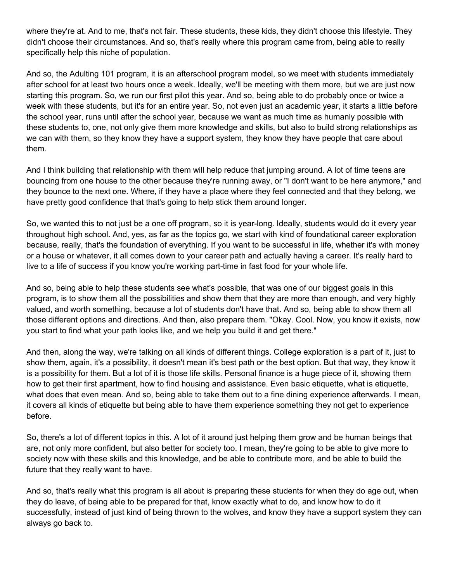where they're at. And to me, that's not fair. These students, these kids, they didn't choose this lifestyle. They didn't choose their circumstances. And so, that's really where this program came from, being able to really specifically help this niche of population.

And so, the Adulting 101 program, it is an afterschool program model, so we meet with students immediately after school for at least two hours once a week. Ideally, we'll be meeting with them more, but we are just now starting this program. So, we run our first pilot this year. And so, being able to do probably once or twice a week with these students, but it's for an entire year. So, not even just an academic year, it starts a little before the school year, runs until after the school year, because we want as much time as humanly possible with these students to, one, not only give them more knowledge and skills, but also to build strong relationships as we can with them, so they know they have a support system, they know they have people that care about them.

And I think building that relationship with them will help reduce that jumping around. A lot of time teens are bouncing from one house to the other because they're running away, or "I don't want to be here anymore," and they bounce to the next one. Where, if they have a place where they feel connected and that they belong, we have pretty good confidence that that's going to help stick them around longer.

So, we wanted this to not just be a one off program, so it is year-long. Ideally, students would do it every year throughout high school. And, yes, as far as the topics go, we start with kind of foundational career exploration because, really, that's the foundation of everything. If you want to be successful in life, whether it's with money or a house or whatever, it all comes down to your career path and actually having a career. It's really hard to live to a life of success if you know you're working part-time in fast food for your whole life.

And so, being able to help these students see what's possible, that was one of our biggest goals in this program, is to show them all the possibilities and show them that they are more than enough, and very highly valued, and worth something, because a lot of students don't have that. And so, being able to show them all those different options and directions. And then, also prepare them. "Okay. Cool. Now, you know it exists, now you start to find what your path looks like, and we help you build it and get there."

And then, along the way, we're talking on all kinds of different things. College exploration is a part of it, just to show them, again, it's a possibility, it doesn't mean it's best path or the best option. But that way, they know it is a possibility for them. But a lot of it is those life skills. Personal finance is a huge piece of it, showing them how to get their first apartment, how to find housing and assistance. Even basic etiquette, what is etiquette, what does that even mean. And so, being able to take them out to a fine dining experience afterwards. I mean, it covers all kinds of etiquette but being able to have them experience something they not get to experience before.

So, there's a lot of different topics in this. A lot of it around just helping them grow and be human beings that are, not only more confident, but also better for society too. I mean, they're going to be able to give more to society now with these skills and this knowledge, and be able to contribute more, and be able to build the future that they really want to have.

And so, that's really what this program is all about is preparing these students for when they do age out, when they do leave, of being able to be prepared for that, know exactly what to do, and know how to do it successfully, instead of just kind of being thrown to the wolves, and know they have a support system they can always go back to.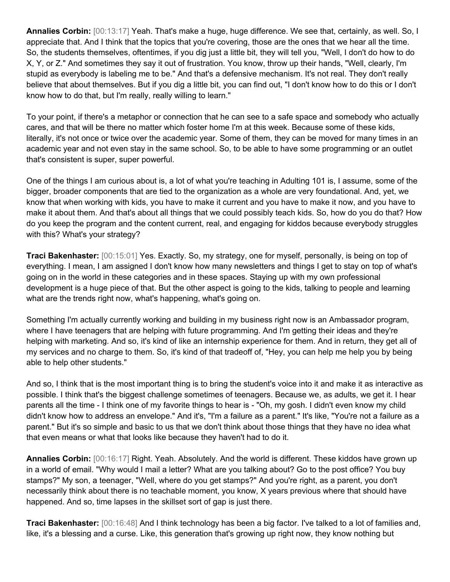**Annalies Corbin:** [00:13:17] Yeah. That's make a huge, huge difference. We see that, certainly, as well. So, I appreciate that. And I think that the topics that you're covering, those are the ones that we hear all the time. So, the students themselves, oftentimes, if you dig just a little bit, they will tell you, "Well, I don't do how to do X, Y, or Z." And sometimes they say it out of frustration. You know, throw up their hands, "Well, clearly, I'm stupid as everybody is labeling me to be." And that's a defensive mechanism. It's not real. They don't really believe that about themselves. But if you dig a little bit, you can find out, "I don't know how to do this or I don't know how to do that, but I'm really, really willing to learn."

To your point, if there's a metaphor or connection that he can see to a safe space and somebody who actually cares, and that will be there no matter which foster home I'm at this week. Because some of these kids, literally, it's not once or twice over the academic year. Some of them, they can be moved for many times in an academic year and not even stay in the same school. So, to be able to have some programming or an outlet that's consistent is super, super powerful.

One of the things I am curious about is, a lot of what you're teaching in Adulting 101 is, I assume, some of the bigger, broader components that are tied to the organization as a whole are very foundational. And, yet, we know that when working with kids, you have to make it current and you have to make it now, and you have to make it about them. And that's about all things that we could possibly teach kids. So, how do you do that? How do you keep the program and the content current, real, and engaging for kiddos because everybody struggles with this? What's your strategy?

**Traci Bakenhaster:** [00:15:01] Yes. Exactly. So, my strategy, one for myself, personally, is being on top of everything. I mean, I am assigned I don't know how many newsletters and things I get to stay on top of what's going on in the world in these categories and in these spaces. Staying up with my own professional development is a huge piece of that. But the other aspect is going to the kids, talking to people and learning what are the trends right now, what's happening, what's going on.

Something I'm actually currently working and building in my business right now is an Ambassador program, where I have teenagers that are helping with future programming. And I'm getting their ideas and they're helping with marketing. And so, it's kind of like an internship experience for them. And in return, they get all of my services and no charge to them. So, it's kind of that tradeoff of, "Hey, you can help me help you by being able to help other students."

And so, I think that is the most important thing is to bring the student's voice into it and make it as interactive as possible. I think that's the biggest challenge sometimes of teenagers. Because we, as adults, we get it. I hear parents all the time - I think one of my favorite things to hear is - "Oh, my gosh. I didn't even know my child didn't know how to address an envelope." And it's, "I'm a failure as a parent." It's like, "You're not a failure as a parent." But it's so simple and basic to us that we don't think about those things that they have no idea what that even means or what that looks like because they haven't had to do it.

**Annalies Corbin:** [00:16:17] Right. Yeah. Absolutely. And the world is different. These kiddos have grown up in a world of email. "Why would I mail a letter? What are you talking about? Go to the post office? You buy stamps?" My son, a teenager, "Well, where do you get stamps?" And you're right, as a parent, you don't necessarily think about there is no teachable moment, you know, X years previous where that should have happened. And so, time lapses in the skillset sort of gap is just there.

**Traci Bakenhaster:** [00:16:48] And I think technology has been a big factor. I've talked to a lot of families and, like, it's a blessing and a curse. Like, this generation that's growing up right now, they know nothing but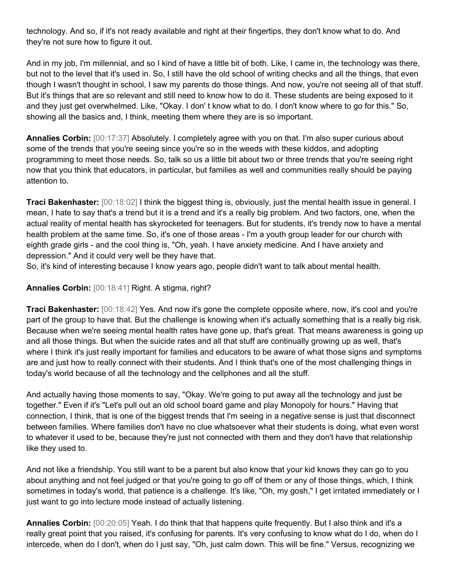technology. And so, if it's not ready available and right at their fingertips, they don't know what to do. And they're not sure how to figure it out.

And in my job, I'm millennial, and so I kind of have a little bit of both. Like, I came in, the technology was there, but not to the level that it's used in. So, I still have the old school of writing checks and all the things, that even though I wasn't thought in school, I saw my parents do those things. And now, you're not seeing all of that stuff. But it's things that are so relevant and still need to know how to do it. These students are being exposed to it and they just get overwhelmed. Like, "Okay. I don' t know what to do. I don't know where to go for this." So, showing all the basics and, I think, meeting them where they are is so important.

**Annalies Corbin:** [00:17:37] Absolutely. I completely agree with you on that. I'm also super curious about some of the trends that you're seeing since you're so in the weeds with these kiddos, and adopting programming to meet those needs. So, talk so us a little bit about two or three trends that you're seeing right now that you think that educators, in particular, but families as well and communities really should be paying attention to.

**Traci Bakenhaster:** [00:18:02] I think the biggest thing is, obviously, just the mental health issue in general. I mean, I hate to say that's a trend but it is a trend and it's a really big problem. And two factors, one, when the actual reality of mental health has skyrocketed for teenagers. But for students, it's trendy now to have a mental health problem at the same time. So, it's one of those areas - I'm a youth group leader for our church with eighth grade girls - and the cool thing is, "Oh, yeah. I have anxiety medicine. And I have anxiety and depression." And it could very well be they have that.

So, it's kind of interesting because I know years ago, people didn't want to talk about mental health.

## **Annalies Corbin:** [00:18:41] Right. A stigma, right?

**Traci Bakenhaster:** [00:18:42] Yes. And now it's gone the complete opposite where, now, it's cool and you're part of the group to have that. But the challenge is knowing when it's actually something that is a really big risk. Because when we're seeing mental health rates have gone up, that's great. That means awareness is going up and all those things. But when the suicide rates and all that stuff are continually growing up as well, that's where I think it's just really important for families and educators to be aware of what those signs and symptoms are and just how to really connect with their students. And I think that's one of the most challenging things in today's world because of all the technology and the cellphones and all the stuff.

And actually having those moments to say, "Okay. We're going to put away all the technology and just be together." Even if it's "Let's pull out an old school board game and play Monopoly for hours." Having that connection, I think, that is one of the biggest trends that I'm seeing in a negative sense is just that disconnect between families. Where families don't have no clue whatsoever what their students is doing, what even worst to whatever it used to be, because they're just not connected with them and they don't have that relationship like they used to.

And not like a friendship. You still want to be a parent but also know that your kid knows they can go to you about anything and not feel judged or that you're going to go off of them or any of those things, which, I think sometimes in today's world, that patience is a challenge. It's like, "Oh, my gosh," I get irritated immediately or I just want to go into lecture mode instead of actually listening.

**Annalies Corbin:** [00:20:05] Yeah. I do think that that happens quite frequently. But I also think and it's a really great point that you raised, it's confusing for parents. It's very confusing to know what do I do, when do I intercede, when do I don't, when do I just say, "Oh, just calm down. This will be fine." Versus, recognizing we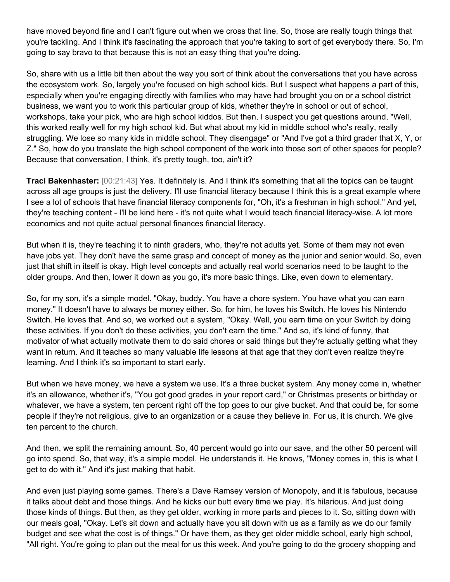have moved beyond fine and I can't figure out when we cross that line. So, those are really tough things that you're tackling. And I think it's fascinating the approach that you're taking to sort of get everybody there. So, I'm going to say bravo to that because this is not an easy thing that you're doing.

So, share with us a little bit then about the way you sort of think about the conversations that you have across the ecosystem work. So, largely you're focused on high school kids. But I suspect what happens a part of this, especially when you're engaging directly with families who may have had brought you on or a school district business, we want you to work this particular group of kids, whether they're in school or out of school, workshops, take your pick, who are high school kiddos. But then, I suspect you get questions around, "Well, this worked really well for my high school kid. But what about my kid in middle school who's really, really struggling. We lose so many kids in middle school. They disengage" or "And I've got a third grader that X, Y, or Z." So, how do you translate the high school component of the work into those sort of other spaces for people? Because that conversation, I think, it's pretty tough, too, ain't it?

**Traci Bakenhaster:** [00:21:43] Yes. It definitely is. And I think it's something that all the topics can be taught across all age groups is just the delivery. I'll use financial literacy because I think this is a great example where I see a lot of schools that have financial literacy components for, "Oh, it's a freshman in high school." And yet, they're teaching content - I'll be kind here - it's not quite what I would teach financial literacy-wise. A lot more economics and not quite actual personal finances financial literacy.

But when it is, they're teaching it to ninth graders, who, they're not adults yet. Some of them may not even have jobs yet. They don't have the same grasp and concept of money as the junior and senior would. So, even just that shift in itself is okay. High level concepts and actually real world scenarios need to be taught to the older groups. And then, lower it down as you go, it's more basic things. Like, even down to elementary.

So, for my son, it's a simple model. "Okay, buddy. You have a chore system. You have what you can earn money." It doesn't have to always be money either. So, for him, he loves his Switch. He loves his Nintendo Switch. He loves that. And so, we worked out a system, "Okay. Well, you earn time on your Switch by doing these activities. If you don't do these activities, you don't earn the time." And so, it's kind of funny, that motivator of what actually motivate them to do said chores or said things but they're actually getting what they want in return. And it teaches so many valuable life lessons at that age that they don't even realize they're learning. And I think it's so important to start early.

But when we have money, we have a system we use. It's a three bucket system. Any money come in, whether it's an allowance, whether it's, "You got good grades in your report card," or Christmas presents or birthday or whatever, we have a system, ten percent right off the top goes to our give bucket. And that could be, for some people if they're not religious, give to an organization or a cause they believe in. For us, it is church. We give ten percent to the church.

And then, we split the remaining amount. So, 40 percent would go into our save, and the other 50 percent will go into spend. So, that way, it's a simple model. He understands it. He knows, "Money comes in, this is what I get to do with it." And it's just making that habit.

And even just playing some games. There's a Dave Ramsey version of Monopoly, and it is fabulous, because it talks about debt and those things. And he kicks our butt every time we play. It's hilarious. And just doing those kinds of things. But then, as they get older, working in more parts and pieces to it. So, sitting down with our meals goal, "Okay. Let's sit down and actually have you sit down with us as a family as we do our family budget and see what the cost is of things." Or have them, as they get older middle school, early high school, "All right. You're going to plan out the meal for us this week. And you're going to do the grocery shopping and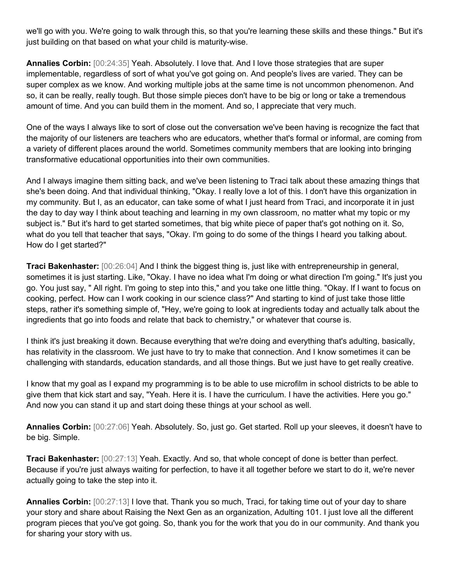we'll go with you. We're going to walk through this, so that you're learning these skills and these things." But it's just building on that based on what your child is maturity-wise.

**Annalies Corbin:** [00:24:35] Yeah. Absolutely. I love that. And I love those strategies that are super implementable, regardless of sort of what you've got going on. And people's lives are varied. They can be super complex as we know. And working multiple jobs at the same time is not uncommon phenomenon. And so, it can be really, really tough. But those simple pieces don't have to be big or long or take a tremendous amount of time. And you can build them in the moment. And so, I appreciate that very much.

One of the ways I always like to sort of close out the conversation we've been having is recognize the fact that the majority of our listeners are teachers who are educators, whether that's formal or informal, are coming from a variety of different places around the world. Sometimes community members that are looking into bringing transformative educational opportunities into their own communities.

And I always imagine them sitting back, and we've been listening to Traci talk about these amazing things that she's been doing. And that individual thinking, "Okay. I really love a lot of this. I don't have this organization in my community. But I, as an educator, can take some of what I just heard from Traci, and incorporate it in just the day to day way I think about teaching and learning in my own classroom, no matter what my topic or my subject is." But it's hard to get started sometimes, that big white piece of paper that's got nothing on it. So, what do you tell that teacher that says, "Okay. I'm going to do some of the things I heard you talking about. How do I get started?"

**Traci Bakenhaster:** [00:26:04] And I think the biggest thing is, just like with entrepreneurship in general, sometimes it is just starting. Like, "Okay. I have no idea what I'm doing or what direction I'm going." It's just you go. You just say, " All right. I'm going to step into this," and you take one little thing. "Okay. If I want to focus on cooking, perfect. How can I work cooking in our science class?" And starting to kind of just take those little steps, rather it's something simple of, "Hey, we're going to look at ingredients today and actually talk about the ingredients that go into foods and relate that back to chemistry," or whatever that course is.

I think it's just breaking it down. Because everything that we're doing and everything that's adulting, basically, has relativity in the classroom. We just have to try to make that connection. And I know sometimes it can be challenging with standards, education standards, and all those things. But we just have to get really creative.

I know that my goal as I expand my programming is to be able to use microfilm in school districts to be able to give them that kick start and say, "Yeah. Here it is. I have the curriculum. I have the activities. Here you go." And now you can stand it up and start doing these things at your school as well.

**Annalies Corbin:** [00:27:06] Yeah. Absolutely. So, just go. Get started. Roll up your sleeves, it doesn't have to be big. Simple.

**Traci Bakenhaster:** [00:27:13] Yeah. Exactly. And so, that whole concept of done is better than perfect. Because if you're just always waiting for perfection, to have it all together before we start to do it, we're never actually going to take the step into it.

**Annalies Corbin:** [00:27:13] I love that. Thank you so much, Traci, for taking time out of your day to share your story and share about Raising the Next Gen as an organization, Adulting 101. I just love all the different program pieces that you've got going. So, thank you for the work that you do in our community. And thank you for sharing your story with us.